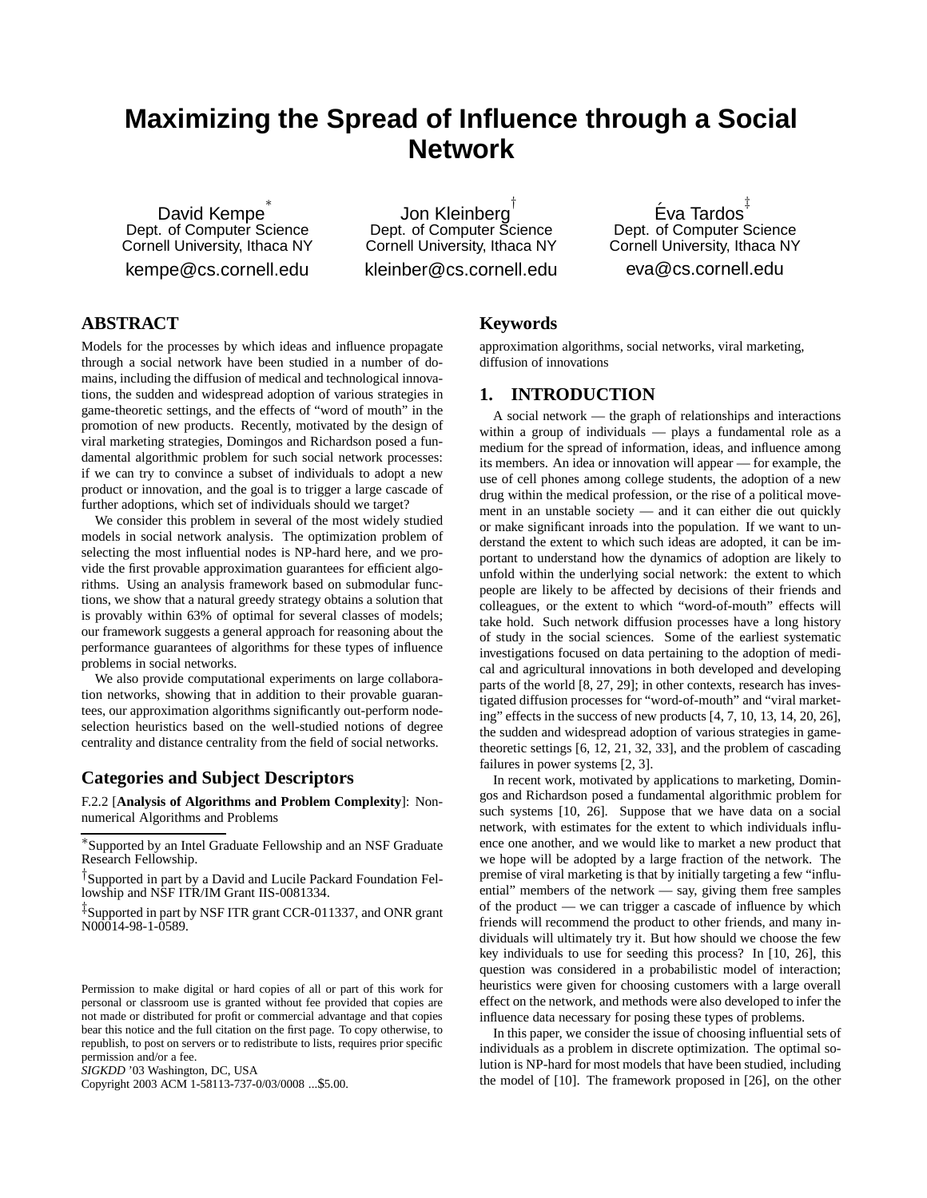# **Maximizing the Spread of Influence through a Social Network**

David Kempe ∗ Dept. of Computer Science Cornell University, Ithaca NY

kempe@cs.cornell.edu

Jon Kleinberg † Dept. of Computer Science Cornell University, Ithaca NY kleinber@cs.cornell.edu

Éva Tardos ‡ Dept. of Computer Science Cornell University, Ithaca NY eva@cs.cornell.edu

# **ABSTRACT**

Models for the processes by which ideas and influence propagate through a social network have been studied in a number of domains, including the diffusion of medical and technological innovations, the sudden and widespread adoption of various strategies in game-theoretic settings, and the effects of "word of mouth" in the promotion of new products. Recently, motivated by the design of viral marketing strategies, Domingos and Richardson posed a fundamental algorithmic problem for such social network processes: if we can try to convince a subset of individuals to adopt a new product or innovation, and the goal is to trigger a large cascade of further adoptions, which set of individuals should we target?

We consider this problem in several of the most widely studied models in social network analysis. The optimization problem of selecting the most influential nodes is NP-hard here, and we provide the first provable approximation guarantees for efficient algorithms. Using an analysis framework based on submodular functions, we show that a natural greedy strategy obtains a solution that is provably within 63% of optimal for several classes of models; our framework suggests a general approach for reasoning about the performance guarantees of algorithms for these types of influence problems in social networks.

We also provide computational experiments on large collaboration networks, showing that in addition to their provable guarantees, our approximation algorithms significantly out-perform nodeselection heuristics based on the well-studied notions of degree centrality and distance centrality from the field of social networks.

## **Categories and Subject Descriptors**

F.2.2 [**Analysis of Algorithms and Problem Complexity**]: Nonnumerical Algorithms and Problems

*SIGKDD* '03 Washington, DC, USA

Copyright 2003 ACM 1-58113-737-0/03/0008 ...\$5.00.

## **Keywords**

approximation algorithms, social networks, viral marketing, diffusion of innovations

### **1. INTRODUCTION**

A social network — the graph of relationships and interactions within a group of individuals — plays a fundamental role as a medium for the spread of information, ideas, and influence among its members. An idea or innovation will appear — for example, the use of cell phones among college students, the adoption of a new drug within the medical profession, or the rise of a political movement in an unstable society — and it can either die out quickly or make significant inroads into the population. If we want to understand the extent to which such ideas are adopted, it can be important to understand how the dynamics of adoption are likely to unfold within the underlying social network: the extent to which people are likely to be affected by decisions of their friends and colleagues, or the extent to which "word-of-mouth" effects will take hold. Such network diffusion processes have a long history of study in the social sciences. Some of the earliest systematic investigations focused on data pertaining to the adoption of medical and agricultural innovations in both developed and developing parts of the world [8, 27, 29]; in other contexts, research has investigated diffusion processes for "word-of-mouth" and "viral marketing" effects in the success of new products [4, 7, 10, 13, 14, 20, 26], the sudden and widespread adoption of various strategies in gametheoretic settings [6, 12, 21, 32, 33], and the problem of cascading failures in power systems [2, 3].

In recent work, motivated by applications to marketing, Domingos and Richardson posed a fundamental algorithmic problem for such systems [10, 26]. Suppose that we have data on a social network, with estimates for the extent to which individuals influence one another, and we would like to market a new product that we hope will be adopted by a large fraction of the network. The premise of viral marketing is that by initially targeting a few "influential" members of the network — say, giving them free samples of the product — we can trigger a cascade of influence by which friends will recommend the product to other friends, and many individuals will ultimately try it. But how should we choose the few key individuals to use for seeding this process? In [10, 26], this question was considered in a probabilistic model of interaction; heuristics were given for choosing customers with a large overall effect on the network, and methods were also developed to infer the influence data necessary for posing these types of problems.

In this paper, we consider the issue of choosing influential sets of individuals as a problem in discrete optimization. The optimal solution is NP-hard for most models that have been studied, including the model of [10]. The framework proposed in [26], on the other

<sup>∗</sup> Supported by an Intel Graduate Fellowship and an NSF Graduate Research Fellowship.

<sup>†</sup> Supported in part by a David and Lucile Packard Foundation Fellowship and NSF ITR/IM Grant IIS-0081334.

<sup>‡</sup> Supported in part by NSF ITR grant CCR-011337, and ONR grant N00014-98-1-0589.

Permission to make digital or hard copies of all or part of this work for personal or classroom use is granted without fee provided that copies are not made or distributed for profit or commercial advantage and that copies bear this notice and the full citation on the first page. To copy otherwise, to republish, to post on servers or to redistribute to lists, requires prior specific permission and/or a fee.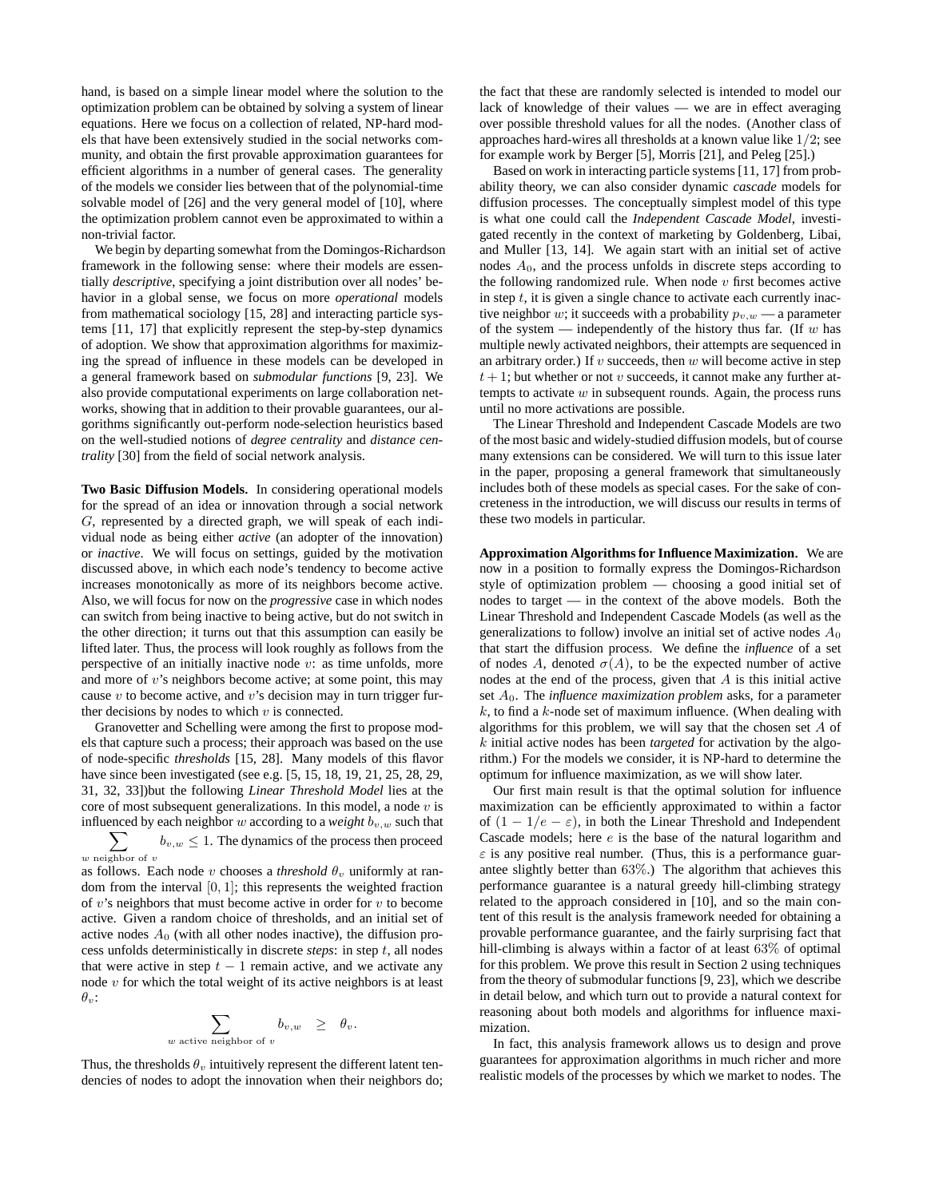hand, is based on a simple linear model where the solution to the optimization problem can be obtained by solving a system of linear equations. Here we focus on a collection of related, NP-hard models that have been extensively studied in the social networks community, and obtain the first provable approximation guarantees for efficient algorithms in a number of general cases. The generality of the models we consider lies between that of the polynomial-time solvable model of [26] and the very general model of [10], where the optimization problem cannot even be approximated to within a non-trivial factor.

We begin by departing somewhat from the Domingos-Richardson framework in the following sense: where their models are essentially *descriptive*, specifying a joint distribution over all nodes' behavior in a global sense, we focus on more *operational* models from mathematical sociology [15, 28] and interacting particle systems [11, 17] that explicitly represent the step-by-step dynamics of adoption. We show that approximation algorithms for maximizing the spread of influence in these models can be developed in a general framework based on *submodular functions* [9, 23]. We also provide computational experiments on large collaboration networks, showing that in addition to their provable guarantees, our algorithms significantly out-perform node-selection heuristics based on the well-studied notions of *degree centrality* and *distance centrality* [30] from the field of social network analysis.

**Two Basic Diffusion Models***.* In considering operational models for the spread of an idea or innovation through a social network G, represented by a directed graph, we will speak of each individual node as being either *active* (an adopter of the innovation) or *inactive*. We will focus on settings, guided by the motivation discussed above, in which each node's tendency to become active increases monotonically as more of its neighbors become active. Also, we will focus for now on the *progressive* case in which nodes can switch from being inactive to being active, but do not switch in the other direction; it turns out that this assumption can easily be lifted later. Thus, the process will look roughly as follows from the perspective of an initially inactive node  $v$ : as time unfolds, more and more of v's neighbors become active; at some point, this may cause  $v$  to become active, and  $v$ 's decision may in turn trigger further decisions by nodes to which  $v$  is connected.

Granovetter and Schelling were among the first to propose models that capture such a process; their approach was based on the use of node-specific *thresholds* [15, 28]. Many models of this flavor have since been investigated (see e.g. [5, 15, 18, 19, 21, 25, 28, 29, 31, 32, 33])but the following *Linear Threshold Model* lies at the core of most subsequent generalizations. In this model, a node  $v$  is influenced by each neighbor  $w$  according to a *weight*  $b_{v,w}$  such that  $\sum$  $b_{v,w} \leq 1$ . The dynamics of the process then proceed

 $\boldsymbol{w}$  neighbor of  $\boldsymbol{v}$ as follows. Each node v chooses a *threshold*  $\theta$ <sub>v</sub> uniformly at random from the interval  $[0, 1]$ ; this represents the weighted fraction of  $v$ 's neighbors that must become active in order for  $v$  to become active. Given a random choice of thresholds, and an initial set of active nodes  $A_0$  (with all other nodes inactive), the diffusion process unfolds deterministically in discrete *steps*: in step t, all nodes that were active in step  $t - 1$  remain active, and we activate any node  $v$  for which the total weight of its active neighbors is at least  $\theta_v$ :

$$
\sum_{w \text{ active neighbor of } v} b_{v,w} \geq \theta_v.
$$

Thus, the thresholds  $\theta_v$  intuitively represent the different latent tendencies of nodes to adopt the innovation when their neighbors do; the fact that these are randomly selected is intended to model our lack of knowledge of their values — we are in effect averaging over possible threshold values for all the nodes. (Another class of approaches hard-wires all thresholds at a known value like 1/2; see for example work by Berger [5], Morris [21], and Peleg [25].)

Based on work in interacting particle systems [11, 17] from probability theory, we can also consider dynamic *cascade* models for diffusion processes. The conceptually simplest model of this type is what one could call the *Independent Cascade Model*, investigated recently in the context of marketing by Goldenberg, Libai, and Muller [13, 14]. We again start with an initial set of active nodes  $A_0$ , and the process unfolds in discrete steps according to the following randomized rule. When node  $v$  first becomes active in step  $t$ , it is given a single chance to activate each currently inactive neighbor w; it succeeds with a probability  $p_{v,w}$  — a parameter of the system — independently of the history thus far. (If  $w$  has multiple newly activated neighbors, their attempts are sequenced in an arbitrary order.) If  $v$  succeeds, then  $w$  will become active in step  $t + 1$ ; but whether or not v succeeds, it cannot make any further attempts to activate  $w$  in subsequent rounds. Again, the process runs until no more activations are possible.

The Linear Threshold and Independent Cascade Models are two of the most basic and widely-studied diffusion models, but of course many extensions can be considered. We will turn to this issue later in the paper, proposing a general framework that simultaneously includes both of these models as special cases. For the sake of concreteness in the introduction, we will discuss our results in terms of these two models in particular.

**Approximation Algorithmsfor Influence Maximization***.* We are now in a position to formally express the Domingos-Richardson style of optimization problem — choosing a good initial set of nodes to target — in the context of the above models. Both the Linear Threshold and Independent Cascade Models (as well as the generalizations to follow) involve an initial set of active nodes  $A_0$ that start the diffusion process. We define the *influence* of a set of nodes A, denoted  $\sigma(A)$ , to be the expected number of active nodes at the end of the process, given that  $A$  is this initial active set A0. The *influence maximization problem* asks, for a parameter  $k$ , to find a  $k$ -node set of maximum influence. (When dealing with algorithms for this problem, we will say that the chosen set A of k initial active nodes has been *targeted* for activation by the algorithm.) For the models we consider, it is NP-hard to determine the optimum for influence maximization, as we will show later.

Our first main result is that the optimal solution for influence maximization can be efficiently approximated to within a factor of  $(1 - 1/e - \varepsilon)$ , in both the Linear Threshold and Independent Cascade models; here e is the base of the natural logarithm and  $\varepsilon$  is any positive real number. (Thus, this is a performance guarantee slightly better than 63%.) The algorithm that achieves this performance guarantee is a natural greedy hill-climbing strategy related to the approach considered in [10], and so the main content of this result is the analysis framework needed for obtaining a provable performance guarantee, and the fairly surprising fact that hill-climbing is always within a factor of at least 63% of optimal for this problem. We prove this result in Section 2 using techniques from the theory of submodular functions [9, 23], which we describe in detail below, and which turn out to provide a natural context for reasoning about both models and algorithms for influence maximization.

In fact, this analysis framework allows us to design and prove guarantees for approximation algorithms in much richer and more realistic models of the processes by which we market to nodes. The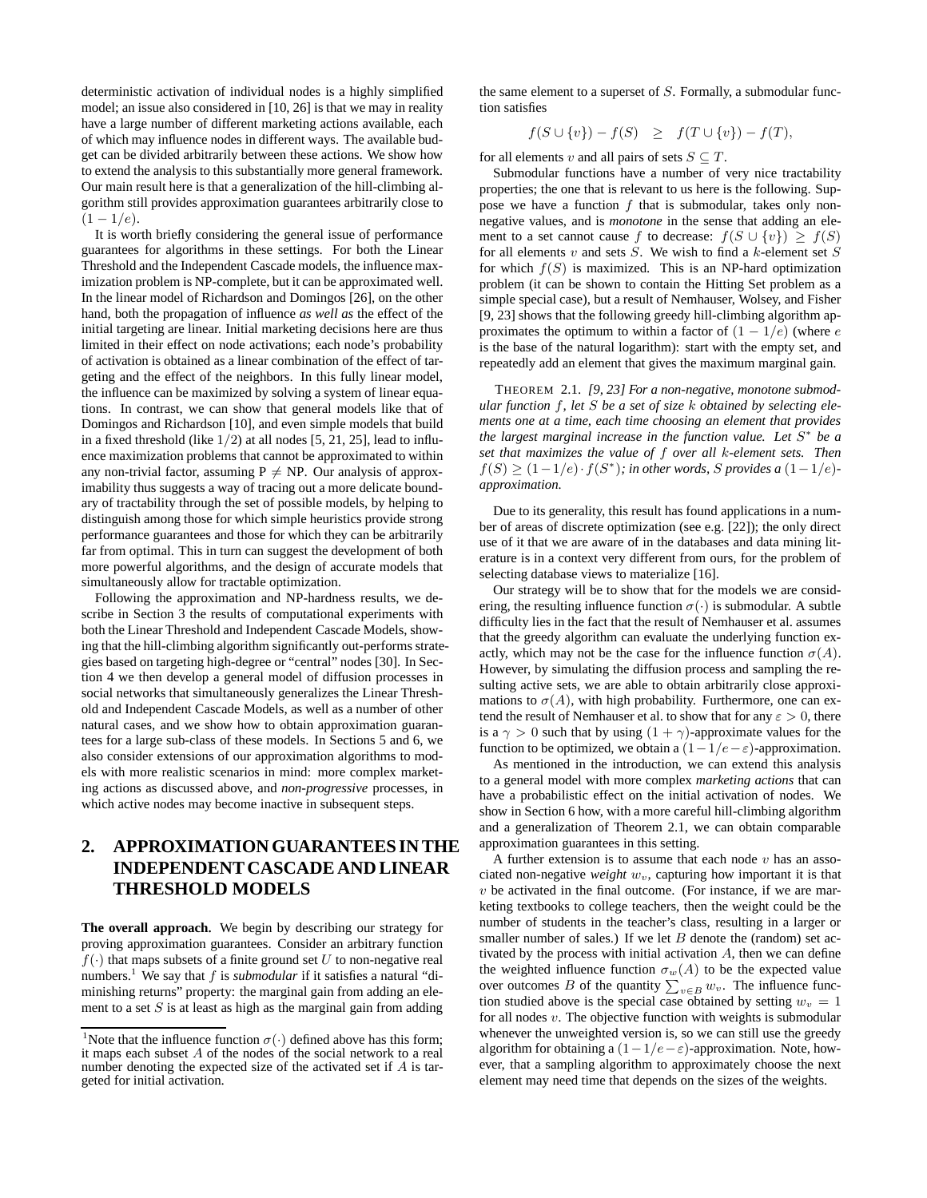deterministic activation of individual nodes is a highly simplified model; an issue also considered in [10, 26] is that we may in reality have a large number of different marketing actions available, each of which may influence nodes in different ways. The available budget can be divided arbitrarily between these actions. We show how to extend the analysis to this substantially more general framework. Our main result here is that a generalization of the hill-climbing algorithm still provides approximation guarantees arbitrarily close to  $(1-1/e)$ .

It is worth briefly considering the general issue of performance guarantees for algorithms in these settings. For both the Linear Threshold and the Independent Cascade models, the influence maximization problem is NP-complete, but it can be approximated well. In the linear model of Richardson and Domingos [26], on the other hand, both the propagation of influence *as well as* the effect of the initial targeting are linear. Initial marketing decisions here are thus limited in their effect on node activations; each node's probability of activation is obtained as a linear combination of the effect of targeting and the effect of the neighbors. In this fully linear model, the influence can be maximized by solving a system of linear equations. In contrast, we can show that general models like that of Domingos and Richardson [10], and even simple models that build in a fixed threshold (like  $1/2$ ) at all nodes  $[5, 21, 25]$ , lead to influence maximization problems that cannot be approximated to within any non-trivial factor, assuming  $P \neq NP$ . Our analysis of approximability thus suggests a way of tracing out a more delicate boundary of tractability through the set of possible models, by helping to distinguish among those for which simple heuristics provide strong performance guarantees and those for which they can be arbitrarily far from optimal. This in turn can suggest the development of both more powerful algorithms, and the design of accurate models that simultaneously allow for tractable optimization.

Following the approximation and NP-hardness results, we describe in Section 3 the results of computational experiments with both the Linear Threshold and Independent Cascade Models, showing that the hill-climbing algorithm significantly out-performs strategies based on targeting high-degree or "central" nodes [30]. In Section 4 we then develop a general model of diffusion processes in social networks that simultaneously generalizes the Linear Threshold and Independent Cascade Models, as well as a number of other natural cases, and we show how to obtain approximation guarantees for a large sub-class of these models. In Sections 5 and 6, we also consider extensions of our approximation algorithms to models with more realistic scenarios in mind: more complex marketing actions as discussed above, and *non-progressive* processes, in which active nodes may become inactive in subsequent steps.

# **2. APPROXIMATIONGUARANTEES IN THE INDEPENDENT CASCADE AND LINEAR THRESHOLD MODELS**

**The overall approach***.* We begin by describing our strategy for proving approximation guarantees. Consider an arbitrary function  $f(\cdot)$  that maps subsets of a finite ground set U to non-negative real numbers.<sup>1</sup> We say that f is *submodular* if it satisfies a natural "diminishing returns" property: the marginal gain from adding an element to a set  $S$  is at least as high as the marginal gain from adding

the same element to a superset of  $S$ . Formally, a submodular function satisfies

$$
f(S \cup \{v\}) - f(S) \geq f(T \cup \{v\}) - f(T),
$$

for all elements v and all pairs of sets  $S \subseteq T$ .

Submodular functions have a number of very nice tractability properties; the one that is relevant to us here is the following. Suppose we have a function  $f$  that is submodular, takes only nonnegative values, and is *monotone* in the sense that adding an element to a set cannot cause f to decrease:  $f(S \cup \{v\}) \ge f(S)$ for all elements  $v$  and sets  $S$ . We wish to find a  $k$ -element set  $S$ for which  $f(S)$  is maximized. This is an NP-hard optimization problem (it can be shown to contain the Hitting Set problem as a simple special case), but a result of Nemhauser, Wolsey, and Fisher [9, 23] shows that the following greedy hill-climbing algorithm approximates the optimum to within a factor of  $(1 - 1/e)$  (where e is the base of the natural logarithm): start with the empty set, and repeatedly add an element that gives the maximum marginal gain.

THEOREM 2.1. *[9, 23] For a non-negative, monotone submodular function* f*, let* S *be a set of size* k *obtained by selecting elements one at a time, each time choosing an element that provides the largest marginal increase in the function value. Let* S ∗ *be a set that maximizes the value of* f *over all* k*-element sets. Then*  $f(S) \geq (1 - 1/e) \cdot f(S^*)$ ; *in other words, S provides a*  $(1 - 1/e)$ *approximation.*

Due to its generality, this result has found applications in a number of areas of discrete optimization (see e.g. [22]); the only direct use of it that we are aware of in the databases and data mining literature is in a context very different from ours, for the problem of selecting database views to materialize [16].

Our strategy will be to show that for the models we are considering, the resulting influence function  $\sigma(\cdot)$  is submodular. A subtle difficulty lies in the fact that the result of Nemhauser et al. assumes that the greedy algorithm can evaluate the underlying function exactly, which may not be the case for the influence function  $\sigma(A)$ . However, by simulating the diffusion process and sampling the resulting active sets, we are able to obtain arbitrarily close approximations to  $\sigma(A)$ , with high probability. Furthermore, one can extend the result of Nemhauser et al. to show that for any  $\varepsilon > 0$ , there is a  $\gamma > 0$  such that by using  $(1 + \gamma)$ -approximate values for the function to be optimized, we obtain a  $(1-1/e-\varepsilon)$ -approximation.

As mentioned in the introduction, we can extend this analysis to a general model with more complex *marketing actions* that can have a probabilistic effect on the initial activation of nodes. We show in Section 6 how, with a more careful hill-climbing algorithm and a generalization of Theorem 2.1, we can obtain comparable approximation guarantees in this setting.

A further extension is to assume that each node  $v$  has an associated non-negative *weight*  $w<sub>v</sub>$ , capturing how important it is that  $v$  be activated in the final outcome. (For instance, if we are marketing textbooks to college teachers, then the weight could be the number of students in the teacher's class, resulting in a larger or smaller number of sales.) If we let  $B$  denote the (random) set activated by the process with initial activation  $A$ , then we can define the weighted influence function  $\sigma_w(A)$  to be the expected value over outcomes B of the quantity  $\sum_{v \in B} w_v$ . The influence function studied above is the special case obtained by setting  $w_y = 1$ for all nodes  $v$ . The objective function with weights is submodular whenever the unweighted version is, so we can still use the greedy algorithm for obtaining a  $(1-1/e-\varepsilon)$ -approximation. Note, however, that a sampling algorithm to approximately choose the next element may need time that depends on the sizes of the weights.

<sup>&</sup>lt;sup>1</sup>Note that the influence function  $\sigma(\cdot)$  defined above has this form; it maps each subset A of the nodes of the social network to a real number denoting the expected size of the activated set if  $A$  is targeted for initial activation.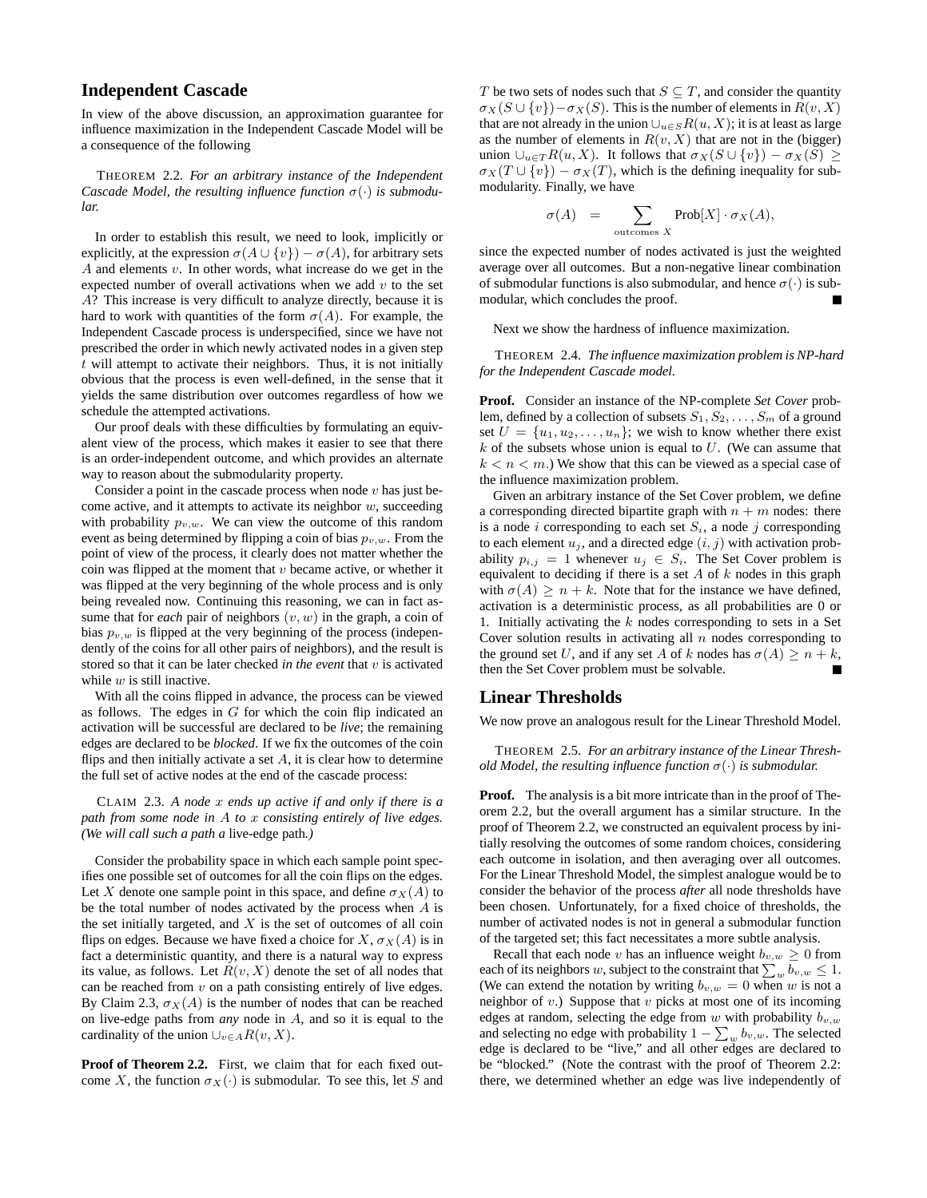## **Independent Cascade**

In view of the above discussion, an approximation guarantee for influence maximization in the Independent Cascade Model will be a consequence of the following

THEOREM 2.2. *For an arbitrary instance of the Independent Cascade Model, the resulting influence function*  $\sigma(\cdot)$  *is submodular.*

In order to establish this result, we need to look, implicitly or explicitly, at the expression  $\sigma(A \cup \{v\}) - \sigma(A)$ , for arbitrary sets A and elements v. In other words, what increase do we get in the expected number of overall activations when we add  $v$  to the set A? This increase is very difficult to analyze directly, because it is hard to work with quantities of the form  $\sigma(A)$ . For example, the Independent Cascade process is underspecified, since we have not prescribed the order in which newly activated nodes in a given step  $t$  will attempt to activate their neighbors. Thus, it is not initially obvious that the process is even well-defined, in the sense that it yields the same distribution over outcomes regardless of how we schedule the attempted activations.

Our proof deals with these difficulties by formulating an equivalent view of the process, which makes it easier to see that there is an order-independent outcome, and which provides an alternate way to reason about the submodularity property.

Consider a point in the cascade process when node  $v$  has just become active, and it attempts to activate its neighbor  $w$ , succeeding with probability  $p_{v,w}$ . We can view the outcome of this random event as being determined by flipping a coin of bias  $p_{v,w}$ . From the point of view of the process, it clearly does not matter whether the coin was flipped at the moment that  $v$  became active, or whether it was flipped at the very beginning of the whole process and is only being revealed now. Continuing this reasoning, we can in fact assume that for *each* pair of neighbors  $(v, w)$  in the graph, a coin of bias  $p_{v,w}$  is flipped at the very beginning of the process (independently of the coins for all other pairs of neighbors), and the result is stored so that it can be later checked *in the event* that v is activated while  $w$  is still inactive.

With all the coins flipped in advance, the process can be viewed as follows. The edges in  $G$  for which the coin flip indicated an activation will be successful are declared to be *live*; the remaining edges are declared to be *blocked*. If we fix the outcomes of the coin flips and then initially activate a set  $A$ , it is clear how to determine the full set of active nodes at the end of the cascade process:

CLAIM 2.3. *A node* x *ends up active if and only if there is a path from some node in* A *to* x *consisting entirely of live edges. (We will call such a path a* live-edge path*.)*

Consider the probability space in which each sample point specifies one possible set of outcomes for all the coin flips on the edges. Let X denote one sample point in this space, and define  $\sigma_X(A)$  to be the total number of nodes activated by the process when  $A$  is the set initially targeted, and  $X$  is the set of outcomes of all coin flips on edges. Because we have fixed a choice for  $X, \sigma_X(A)$  is in fact a deterministic quantity, and there is a natural way to express its value, as follows. Let  $R(v, X)$  denote the set of all nodes that can be reached from  $v$  on a path consisting entirely of live edges. By Claim 2.3,  $\sigma_X(A)$  is the number of nodes that can be reached on live-edge paths from *any* node in A, and so it is equal to the cardinality of the union  $\cup_{v \in A} R(v, X)$ .

**Proof of Theorem 2.2.** First, we claim that for each fixed outcome X, the function  $\sigma_X(\cdot)$  is submodular. To see this, let S and T be two sets of nodes such that  $S \subseteq T$ , and consider the quantity  $\sigma_X(S \cup \{v\}) - \sigma_X(S)$ . This is the number of elements in  $R(v, X)$ that are not already in the union  $\bigcup_{u \in S} R(u, X)$ ; it is at least as large as the number of elements in  $R(v, X)$  that are not in the (bigger) union  $\bigcup_{u \in T} R(u, X)$ . It follows that  $\sigma_X(S \cup \{v\}) - \sigma_X(S)$  $\sigma_X(T \cup \{v\}) - \sigma_X(T)$ , which is the defining inequality for submodularity. Finally, we have

$$
\sigma(A) = \sum_{\text{outcomes } X} \mathrm{Prob}[X] \cdot \sigma_X(A),
$$

since the expected number of nodes activated is just the weighted average over all outcomes. But a non-negative linear combination of submodular functions is also submodular, and hence  $\sigma(\cdot)$  is submodular, which concludes the proof.

Next we show the hardness of influence maximization.

THEOREM 2.4. *The influence maximization problem is NP-hard for the Independent Cascade model.*

**Proof.** Consider an instance of the NP-complete *Set Cover* problem, defined by a collection of subsets  $S_1, S_2, \ldots, S_m$  of a ground set  $U = \{u_1, u_2, \dots, u_n\}$ ; we wish to know whether there exist  $k$  of the subsets whose union is equal to  $U$ . (We can assume that  $k < n < m$ .) We show that this can be viewed as a special case of the influence maximization problem.

Given an arbitrary instance of the Set Cover problem, we define a corresponding directed bipartite graph with  $n + m$  nodes: there is a node i corresponding to each set  $S_i$ , a node j corresponding to each element  $u_j$ , and a directed edge  $(i, j)$  with activation probability  $p_{i,j} = 1$  whenever  $u_j \in S_i$ . The Set Cover problem is equivalent to deciding if there is a set  $A$  of  $k$  nodes in this graph with  $\sigma(A) \geq n + k$ . Note that for the instance we have defined, activation is a deterministic process, as all probabilities are 0 or 1. Initially activating the  $k$  nodes corresponding to sets in a Set Cover solution results in activating all  $n$  nodes corresponding to the ground set U, and if any set A of k nodes has  $\sigma(A) \geq n + k$ , then the Set Cover problem must be solvable.

#### **Linear Thresholds**

We now prove an analogous result for the Linear Threshold Model.

THEOREM 2.5. *For an arbitrary instance of the Linear Threshold Model, the resulting influence function*  $\sigma(\cdot)$  *is submodular.* 

**Proof.** The analysis is a bit more intricate than in the proof of Theorem 2.2, but the overall argument has a similar structure. In the proof of Theorem 2.2, we constructed an equivalent process by initially resolving the outcomes of some random choices, considering each outcome in isolation, and then averaging over all outcomes. For the Linear Threshold Model, the simplest analogue would be to consider the behavior of the process *after* all node thresholds have been chosen. Unfortunately, for a fixed choice of thresholds, the number of activated nodes is not in general a submodular function of the targeted set; this fact necessitates a more subtle analysis.

Recall that each node v has an influence weight  $b_{v,w} \geq 0$  from each of its neighbors  $w$ , subject to the constraint that  $\sum_w b_{v,w} \leq 1.$ (We can extend the notation by writing  $b_{v,w} = 0$  when w is not a neighbor of  $v$ .) Suppose that  $v$  picks at most one of its incoming edges at random, selecting the edge from w with probability  $b_{v,w}$ and selecting no edge with probability  $1 - \sum_{w} b_{v,w}$ . The selected edge is declared to be "live," and all other edges are declared to be "blocked." (Note the contrast with the proof of Theorem 2.2: there, we determined whether an edge was live independently of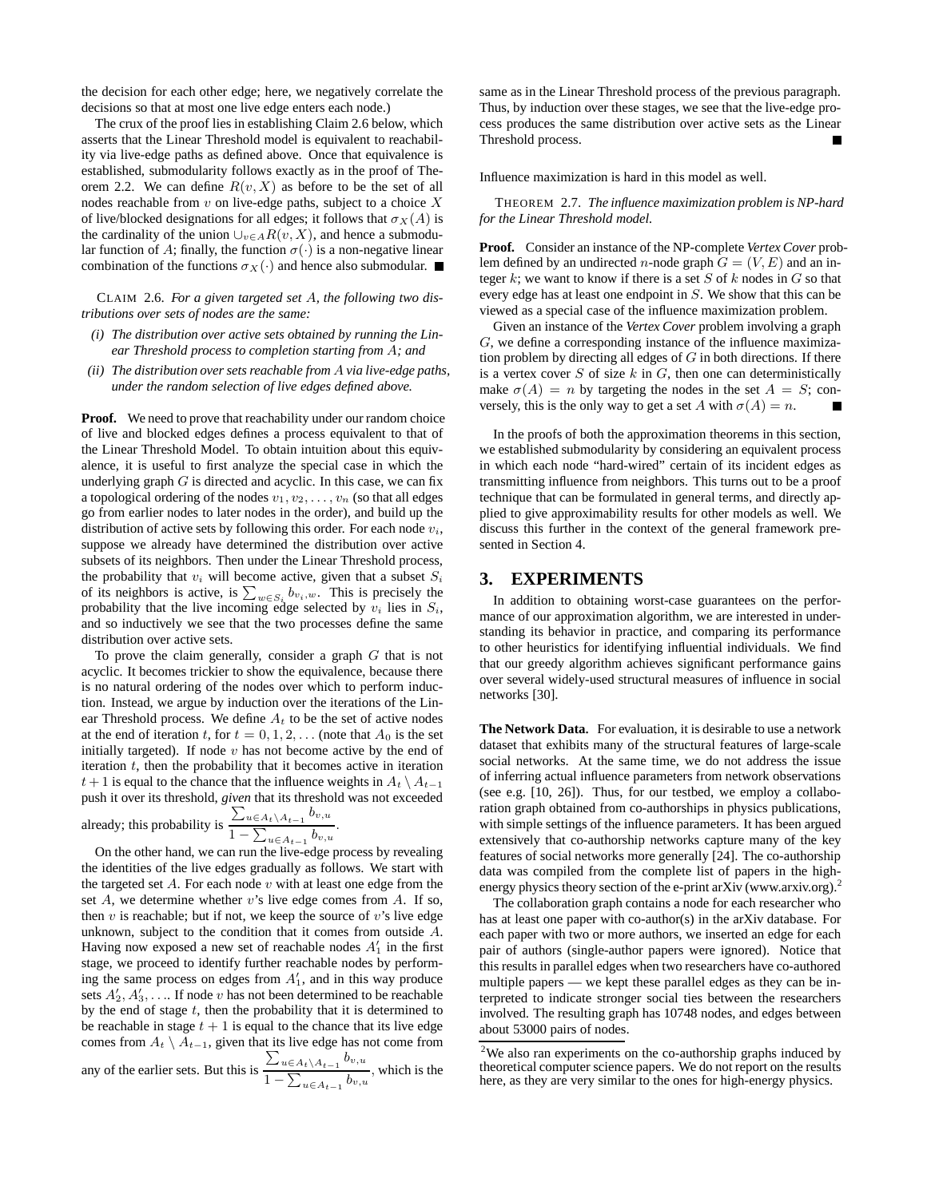the decision for each other edge; here, we negatively correlate the decisions so that at most one live edge enters each node.)

The crux of the proof lies in establishing Claim 2.6 below, which asserts that the Linear Threshold model is equivalent to reachability via live-edge paths as defined above. Once that equivalence is established, submodularity follows exactly as in the proof of Theorem 2.2. We can define  $R(v, X)$  as before to be the set of all nodes reachable from  $v$  on live-edge paths, subject to a choice  $X$ of live/blocked designations for all edges; it follows that  $\sigma_X(A)$  is the cardinality of the union  $\bigcup_{v \in A} R(v, X)$ , and hence a submodular function of A; finally, the function  $\sigma(\cdot)$  is a non-negative linear combination of the functions  $\sigma_X(\cdot)$  and hence also submodular.

CLAIM 2.6. *For a given targeted set* A*, the following two distributions over sets of nodes are the same:*

- *(i) The distribution over active sets obtained by running the Linear Threshold process to completion starting from* A*; and*
- *(ii) The distribution over sets reachable from* A *via live-edge paths, under the random selection of live edges defined above.*

**Proof.** We need to prove that reachability under our random choice of live and blocked edges defines a process equivalent to that of the Linear Threshold Model. To obtain intuition about this equivalence, it is useful to first analyze the special case in which the underlying graph  $G$  is directed and acyclic. In this case, we can fix a topological ordering of the nodes  $v_1, v_2, \ldots, v_n$  (so that all edges go from earlier nodes to later nodes in the order), and build up the distribution of active sets by following this order. For each node  $v_i$ , suppose we already have determined the distribution over active subsets of its neighbors. Then under the Linear Threshold process, the probability that  $v_i$  will become active, given that a subset  $S_i$ of its neighbors is active, is  $\sum_{w \in S_i} b_{v_i,w}$ . This is precisely the probability that the live incoming edge selected by  $v_i$  lies in  $S_i$ , and so inductively we see that the two processes define the same distribution over active sets.

To prove the claim generally, consider a graph  $G$  that is not acyclic. It becomes trickier to show the equivalence, because there is no natural ordering of the nodes over which to perform induction. Instead, we argue by induction over the iterations of the Linear Threshold process. We define  $A_t$  to be the set of active nodes at the end of iteration t, for  $t = 0, 1, 2, \ldots$  (note that  $A_0$  is the set initially targeted). If node  $v$  has not become active by the end of iteration  $t$ , then the probability that it becomes active in iteration  $t + 1$  is equal to the chance that the influence weights in  $A_t \setminus A_{t-1}$ push it over its threshold, *given* that its threshold was not exceeded  $\sum_{u\in A_t\setminus A_{t-1}} b_{v,u}$ .

already; this probability is 
$$
\frac{\sum_{u \in A_t \setminus A_{t-1}} \dots}{1 - \sum_{u \in A_{t-1}} b_{v,u}}
$$

On the other hand, we can run the live-edge process by revealing the identities of the live edges gradually as follows. We start with the targeted set  $A$ . For each node  $v$  with at least one edge from the set  $A$ , we determine whether  $v$ 's live edge comes from  $A$ . If so, then  $v$  is reachable; but if not, we keep the source of  $v$ 's live edge unknown, subject to the condition that it comes from outside A. Having now exposed a new set of reachable nodes  $A'_1$  in the first stage, we proceed to identify further reachable nodes by performing the same process on edges from  $A'_1$ , and in this way produce sets  $A'_2, A'_3, \ldots$  If node v has not been determined to be reachable by the end of stage  $t$ , then the probability that it is determined to be reachable in stage  $t + 1$  is equal to the chance that its live edge comes from  $A_t \setminus A_{t-1}$ , given that its live edge has not come from any of the earlier sets. But this is  $\sum_{u\in A_t\setminus A_{t-1}} b_{v,u}$  $\frac{1 - \sum_{u \in A_{t-1}} b_{v,u}}{1 - \sum_{u \in A_{t-1}} b_{v,u}},$  which is the

same as in the Linear Threshold process of the previous paragraph. Thus, by induction over these stages, we see that the live-edge process produces the same distribution over active sets as the Linear Threshold process.

Influence maximization is hard in this model as well.

THEOREM 2.7. *The influence maximization problem is NP-hard for the Linear Threshold model.*

**Proof.** Consider an instance of the NP-complete *Vertex Cover* problem defined by an undirected *n*-node graph  $G = (V, E)$  and an integer k; we want to know if there is a set  $S$  of  $k$  nodes in  $G$  so that every edge has at least one endpoint in S. We show that this can be viewed as a special case of the influence maximization problem.

Given an instance of the *Vertex Cover* problem involving a graph G, we define a corresponding instance of the influence maximization problem by directing all edges of  $G$  in both directions. If there is a vertex cover  $S$  of size  $k$  in  $G$ , then one can deterministically make  $\sigma(A) = n$  by targeting the nodes in the set  $A = S$ ; conversely, this is the only way to get a set A with  $\sigma(A) = n$ .

In the proofs of both the approximation theorems in this section, we established submodularity by considering an equivalent process in which each node "hard-wired" certain of its incident edges as transmitting influence from neighbors. This turns out to be a proof technique that can be formulated in general terms, and directly applied to give approximability results for other models as well. We discuss this further in the context of the general framework presented in Section 4.

## **3. EXPERIMENTS**

In addition to obtaining worst-case guarantees on the performance of our approximation algorithm, we are interested in understanding its behavior in practice, and comparing its performance to other heuristics for identifying influential individuals. We find that our greedy algorithm achieves significant performance gains over several widely-used structural measures of influence in social networks [30].

**The Network Data***.* For evaluation, it is desirable to use a network dataset that exhibits many of the structural features of large-scale social networks. At the same time, we do not address the issue of inferring actual influence parameters from network observations (see e.g. [10, 26]). Thus, for our testbed, we employ a collaboration graph obtained from co-authorships in physics publications, with simple settings of the influence parameters. It has been argued extensively that co-authorship networks capture many of the key features of social networks more generally [24]. The co-authorship data was compiled from the complete list of papers in the highenergy physics theory section of the e-print arXiv (www.arxiv.org).<sup>2</sup>

The collaboration graph contains a node for each researcher who has at least one paper with co-author(s) in the arXiv database. For each paper with two or more authors, we inserted an edge for each pair of authors (single-author papers were ignored). Notice that this results in parallel edges when two researchers have co-authored multiple papers — we kept these parallel edges as they can be interpreted to indicate stronger social ties between the researchers involved. The resulting graph has 10748 nodes, and edges between about 53000 pairs of nodes.

<sup>&</sup>lt;sup>2</sup>We also ran experiments on the co-authorship graphs induced by theoretical computer science papers. We do not report on the results here, as they are very similar to the ones for high-energy physics.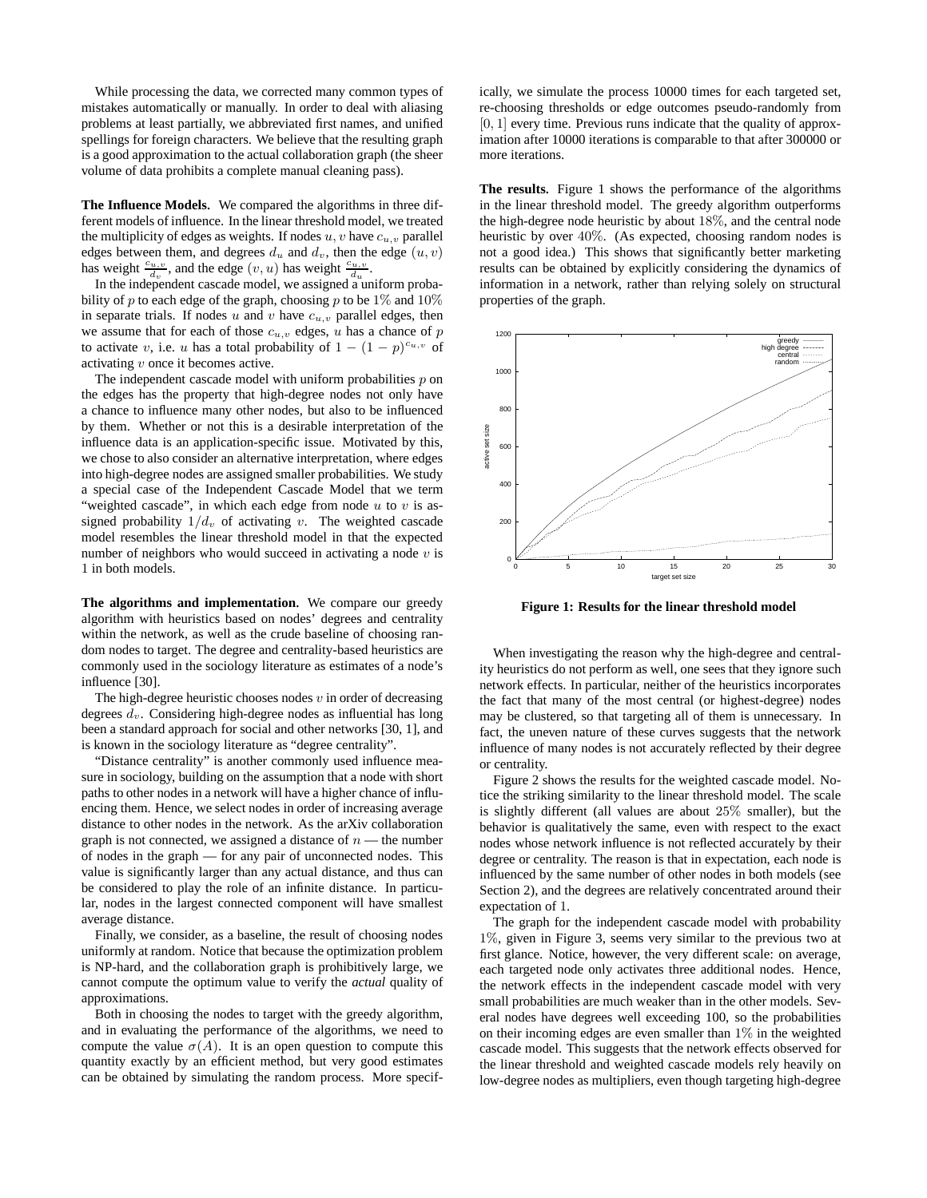While processing the data, we corrected many common types of mistakes automatically or manually. In order to deal with aliasing problems at least partially, we abbreviated first names, and unified spellings for foreign characters. We believe that the resulting graph is a good approximation to the actual collaboration graph (the sheer volume of data prohibits a complete manual cleaning pass).

**The Influence Models***.* We compared the algorithms in three different models of influence. In the linear threshold model, we treated the multiplicity of edges as weights. If nodes  $u, v$  have  $c_{u, v}$  parallel edges between them, and degrees  $d_u$  and  $d_v$ , then the edge  $(u, v)$ has weight  $\frac{c_{u,v}}{d_v}$ , and the edge  $(v, u)$  has weight  $\frac{c_{u,v}}{d_u}$ .

In the independent cascade model, we assigned a uniform probability of p to each edge of the graph, choosing p to be  $1\%$  and  $10\%$ in separate trials. If nodes  $u$  and  $v$  have  $c_{u,v}$  parallel edges, then we assume that for each of those  $c_{u,v}$  edges, u has a chance of p to activate v, i.e. u has a total probability of  $1 - (1 - p)^{c_{u,v}}$  of activating v once it becomes active.

The independent cascade model with uniform probabilities  $p$  on the edges has the property that high-degree nodes not only have a chance to influence many other nodes, but also to be influenced by them. Whether or not this is a desirable interpretation of the influence data is an application-specific issue. Motivated by this, we chose to also consider an alternative interpretation, where edges into high-degree nodes are assigned smaller probabilities. We study a special case of the Independent Cascade Model that we term "weighted cascade", in which each edge from node  $u$  to  $v$  is assigned probability  $1/d_v$  of activating v. The weighted cascade model resembles the linear threshold model in that the expected number of neighbors who would succeed in activating a node  $v$  is 1 in both models.

**The algorithms and implementation***.* We compare our greedy algorithm with heuristics based on nodes' degrees and centrality within the network, as well as the crude baseline of choosing random nodes to target. The degree and centrality-based heuristics are commonly used in the sociology literature as estimates of a node's influence [30].

The high-degree heuristic chooses nodes  $v$  in order of decreasing degrees  $d_v$ . Considering high-degree nodes as influential has long been a standard approach for social and other networks [30, 1], and is known in the sociology literature as "degree centrality".

"Distance centrality" is another commonly used influence measure in sociology, building on the assumption that a node with short paths to other nodes in a network will have a higher chance of influencing them. Hence, we select nodes in order of increasing average distance to other nodes in the network. As the arXiv collaboration graph is not connected, we assigned a distance of  $n$  — the number of nodes in the graph — for any pair of unconnected nodes. This value is significantly larger than any actual distance, and thus can be considered to play the role of an infinite distance. In particular, nodes in the largest connected component will have smallest average distance.

Finally, we consider, as a baseline, the result of choosing nodes uniformly at random. Notice that because the optimization problem is NP-hard, and the collaboration graph is prohibitively large, we cannot compute the optimum value to verify the *actual* quality of approximations.

Both in choosing the nodes to target with the greedy algorithm, and in evaluating the performance of the algorithms, we need to compute the value  $\sigma(A)$ . It is an open question to compute this quantity exactly by an efficient method, but very good estimates can be obtained by simulating the random process. More specifically, we simulate the process 10000 times for each targeted set, re-choosing thresholds or edge outcomes pseudo-randomly from  $[0, 1]$  every time. Previous runs indicate that the quality of approximation after 10000 iterations is comparable to that after 300000 or more iterations.

**The results***.* Figure 1 shows the performance of the algorithms in the linear threshold model. The greedy algorithm outperforms the high-degree node heuristic by about 18%, and the central node heuristic by over 40%. (As expected, choosing random nodes is not a good idea.) This shows that significantly better marketing results can be obtained by explicitly considering the dynamics of information in a network, rather than relying solely on structural properties of the graph.



**Figure 1: Results for the linear threshold model**

When investigating the reason why the high-degree and centrality heuristics do not perform as well, one sees that they ignore such network effects. In particular, neither of the heuristics incorporates the fact that many of the most central (or highest-degree) nodes may be clustered, so that targeting all of them is unnecessary. In fact, the uneven nature of these curves suggests that the network influence of many nodes is not accurately reflected by their degree or centrality.

Figure 2 shows the results for the weighted cascade model. Notice the striking similarity to the linear threshold model. The scale is slightly different (all values are about 25% smaller), but the behavior is qualitatively the same, even with respect to the exact nodes whose network influence is not reflected accurately by their degree or centrality. The reason is that in expectation, each node is influenced by the same number of other nodes in both models (see Section 2), and the degrees are relatively concentrated around their expectation of 1.

The graph for the independent cascade model with probability 1%, given in Figure 3, seems very similar to the previous two at first glance. Notice, however, the very different scale: on average, each targeted node only activates three additional nodes. Hence, the network effects in the independent cascade model with very small probabilities are much weaker than in the other models. Several nodes have degrees well exceeding 100, so the probabilities on their incoming edges are even smaller than  $1\%$  in the weighted cascade model. This suggests that the network effects observed for the linear threshold and weighted cascade models rely heavily on low-degree nodes as multipliers, even though targeting high-degree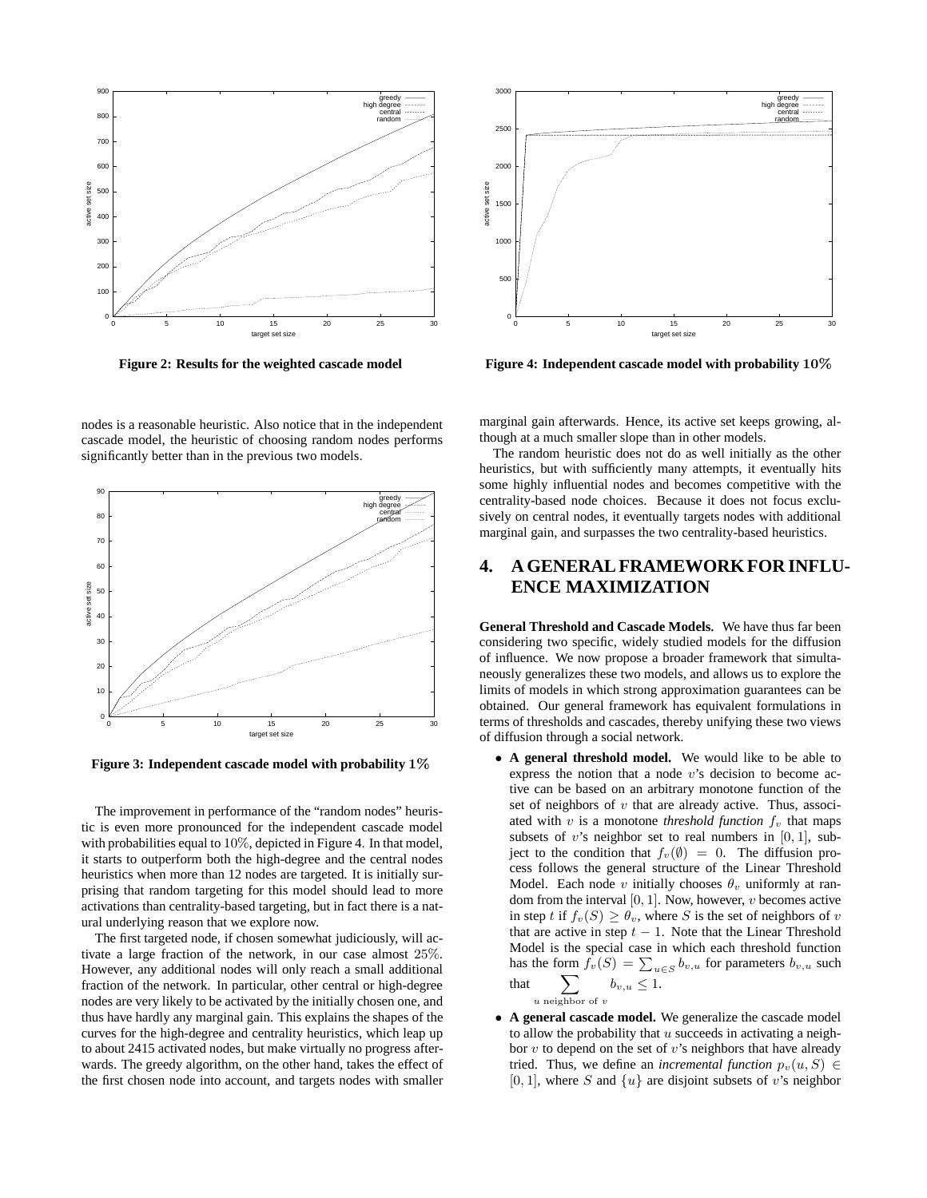

**Figure 2: Results for the weighted cascade model**

nodes is a reasonable heuristic. Also notice that in the independent cascade model, the heuristic of choosing random nodes performs significantly better than in the previous two models.



**Figure 3: Independent cascade model with probability** 1%

The improvement in performance of the "random nodes" heuristic is even more pronounced for the independent cascade model with probabilities equal to 10%, depicted in Figure 4. In that model, it starts to outperform both the high-degree and the central nodes heuristics when more than 12 nodes are targeted. It is initially surprising that random targeting for this model should lead to more activations than centrality-based targeting, but in fact there is a natural underlying reason that we explore now.

The first targeted node, if chosen somewhat judiciously, will activate a large fraction of the network, in our case almost 25%. However, any additional nodes will only reach a small additional fraction of the network. In particular, other central or high-degree nodes are very likely to be activated by the initially chosen one, and thus have hardly any marginal gain. This explains the shapes of the curves for the high-degree and centrality heuristics, which leap up to about 2415 activated nodes, but make virtually no progress afterwards. The greedy algorithm, on the other hand, takes the effect of the first chosen node into account, and targets nodes with smaller



**Figure 4: Independent cascade model with probability** 10%

marginal gain afterwards. Hence, its active set keeps growing, although at a much smaller slope than in other models.

The random heuristic does not do as well initially as the other heuristics, but with sufficiently many attempts, it eventually hits some highly influential nodes and becomes competitive with the centrality-based node choices. Because it does not focus exclusively on central nodes, it eventually targets nodes with additional marginal gain, and surpasses the two centrality-based heuristics.

# **4. AGENERALFRAMEWORKFOR INFLU-ENCE MAXIMIZATION**

**General Threshold and Cascade Models***.* We have thus far been considering two specific, widely studied models for the diffusion of influence. We now propose a broader framework that simultaneously generalizes these two models, and allows us to explore the limits of models in which strong approximation guarantees can be obtained. Our general framework has equivalent formulations in terms of thresholds and cascades, thereby unifying these two views of diffusion through a social network.

- **A general threshold model.** We would like to be able to express the notion that a node  $v$ 's decision to become active can be based on an arbitrary monotone function of the set of neighbors of  $v$  that are already active. Thus, associated with  $v$  is a monotone *threshold function*  $f_v$  that maps subsets of v's neighbor set to real numbers in  $[0, 1]$ , subject to the condition that  $f_v(\emptyset) = 0$ . The diffusion process follows the general structure of the Linear Threshold Model. Each node v initially chooses  $\theta_v$  uniformly at random from the interval  $[0, 1]$ . Now, however,  $v$  becomes active in step t if  $f_v(S) \ge \theta_v$ , where S is the set of neighbors of v that are active in step  $t - 1$ . Note that the Linear Threshold Model is the special case in which each threshold function has the form  $f_v(S) = \sum_{u \in S} b_{v,u}$  for parameters  $b_{v,u}$  such that  $\sum$ u neighbor of v  $b_{v,u} \leq 1.$
- **A general cascade model.** We generalize the cascade model to allow the probability that  $u$  succeeds in activating a neighbor  $v$  to depend on the set of  $v$ 's neighbors that have already tried. Thus, we define an *incremental function*  $p_v(u, S) \in$ [0, 1], where S and  $\{u\}$  are disjoint subsets of v's neighbor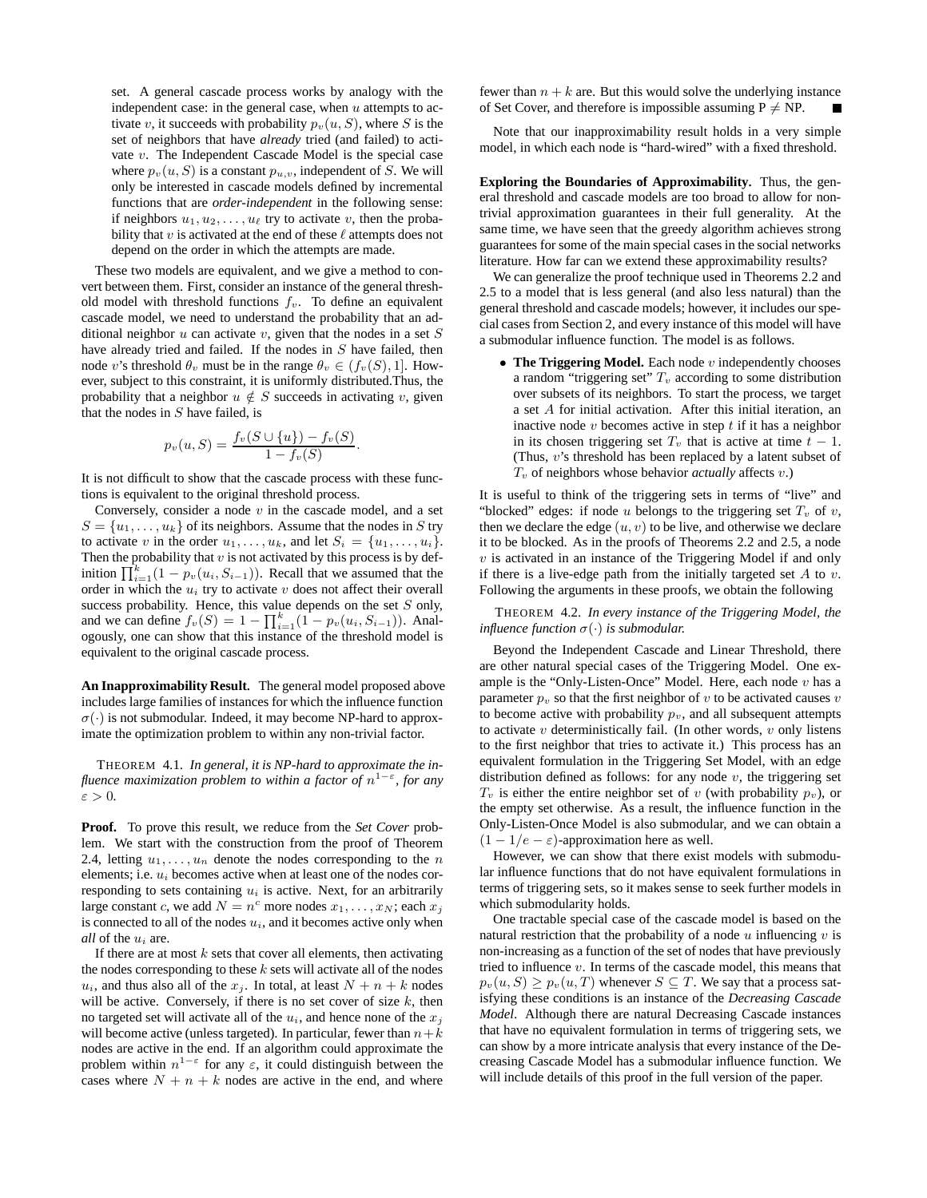set. A general cascade process works by analogy with the independent case: in the general case, when  $u$  attempts to activate v, it succeeds with probability  $p_v(u, S)$ , where S is the set of neighbors that have *already* tried (and failed) to activate v. The Independent Cascade Model is the special case where  $p_v(u, S)$  is a constant  $p_{u,v}$ , independent of S. We will only be interested in cascade models defined by incremental functions that are *order-independent* in the following sense: if neighbors  $u_1, u_2, \ldots, u_\ell$  try to activate v, then the probability that  $v$  is activated at the end of these  $\ell$  attempts does not depend on the order in which the attempts are made.

These two models are equivalent, and we give a method to convert between them. First, consider an instance of the general threshold model with threshold functions  $f_v$ . To define an equivalent cascade model, we need to understand the probability that an additional neighbor  $u$  can activate  $v$ , given that the nodes in a set  $S$ have already tried and failed. If the nodes in S have failed, then node v's threshold  $\theta_v$  must be in the range  $\theta_v \in (f_v(S), 1]$ . However, subject to this constraint, it is uniformly distributed.Thus, the probability that a neighbor  $u \notin S$  succeeds in activating v, given that the nodes in  $S$  have failed, is

$$
p_v(u, S) = \frac{f_v(S \cup \{u\}) - f_v(S)}{1 - f_v(S)}.
$$

It is not difficult to show that the cascade process with these functions is equivalent to the original threshold process.

Conversely, consider a node  $v$  in the cascade model, and a set  $S = \{u_1, \ldots, u_k\}$  of its neighbors. Assume that the nodes in S try to activate v in the order  $u_1, \ldots, u_k$ , and let  $S_i = \{u_1, \ldots, u_i\}.$ Then the probability that  $v$  is not activated by this process is by definition  $\prod_{i=1}^{k} (1 - p_v(u_i, S_{i-1}))$ . Recall that we assumed that the order in which the  $u_i$  try to activate  $v$  does not affect their overall success probability. Hence, this value depends on the set  $S$  only, and we can define  $f_v(S) = 1 - \prod_{i=1}^k (1 - p_v(u_i, S_{i-1}))$ . Analogously, one can show that this instance of the threshold model is equivalent to the original cascade process.

**An Inapproximability Result***.* The general model proposed above includes large families of instances for which the influence function  $\sigma(\cdot)$  is not submodular. Indeed, it may become NP-hard to approximate the optimization problem to within any non-trivial factor.

THEOREM 4.1. *In general, it is NP-hard to approximate the influence maximization problem to within a factor of* n 1−ε *, for any*  $\varepsilon > 0$ .

**Proof.** To prove this result, we reduce from the *Set Cover* problem. We start with the construction from the proof of Theorem 2.4, letting  $u_1, \ldots, u_n$  denote the nodes corresponding to the n elements; i.e.  $u_i$  becomes active when at least one of the nodes corresponding to sets containing  $u_i$  is active. Next, for an arbitrarily large constant c, we add  $N = n^c$  more nodes  $x_1, \ldots, x_N$ ; each  $x_j$ is connected to all of the nodes  $u_i$ , and it becomes active only when *all* of the u<sup>i</sup> are.

If there are at most  $k$  sets that cover all elements, then activating the nodes corresponding to these  $k$  sets will activate all of the nodes  $u_i$ , and thus also all of the  $x_i$ . In total, at least  $N + n + k$  nodes will be active. Conversely, if there is no set cover of size  $k$ , then no targeted set will activate all of the  $u_i$ , and hence none of the  $x_i$ will become active (unless targeted). In particular, fewer than  $n+k$ nodes are active in the end. If an algorithm could approximate the problem within  $n^{1-\epsilon}$  for any  $\epsilon$ , it could distinguish between the cases where  $N + n + k$  nodes are active in the end, and where

fewer than  $n + k$  are. But this would solve the underlying instance of Set Cover, and therefore is impossible assuming  $P \neq NP$ .

Note that our inapproximability result holds in a very simple model, in which each node is "hard-wired" with a fixed threshold.

**Exploring the Boundaries of Approximability***.* Thus, the general threshold and cascade models are too broad to allow for nontrivial approximation guarantees in their full generality. At the same time, we have seen that the greedy algorithm achieves strong guarantees for some of the main special cases in the social networks literature. How far can we extend these approximability results?

We can generalize the proof technique used in Theorems 2.2 and 2.5 to a model that is less general (and also less natural) than the general threshold and cascade models; however, it includes our special cases from Section 2, and every instance of this model will have a submodular influence function. The model is as follows.

• **The Triggering Model.** Each node v independently chooses a random "triggering set"  $T_v$  according to some distribution over subsets of its neighbors. To start the process, we target a set A for initial activation. After this initial iteration, an inactive node  $v$  becomes active in step  $t$  if it has a neighbor in its chosen triggering set  $T_v$  that is active at time  $t - 1$ . (Thus, v's threshold has been replaced by a latent subset of  $T_v$  of neighbors whose behavior *actually* affects  $v$ .)

It is useful to think of the triggering sets in terms of "live" and "blocked" edges: if node u belongs to the triggering set  $T_v$  of v, then we declare the edge  $(u, v)$  to be live, and otherwise we declare it to be blocked. As in the proofs of Theorems 2.2 and 2.5, a node  $v$  is activated in an instance of the Triggering Model if and only if there is a live-edge path from the initially targeted set  $A$  to  $v$ . Following the arguments in these proofs, we obtain the following

THEOREM 4.2. *In every instance of the Triggering Model, the influence function*  $\sigma(\cdot)$  *is submodular.* 

Beyond the Independent Cascade and Linear Threshold, there are other natural special cases of the Triggering Model. One example is the "Only-Listen-Once" Model. Here, each node  $v$  has a parameter  $p_v$  so that the first neighbor of v to be activated causes v to become active with probability  $p_v$ , and all subsequent attempts to activate  $v$  deterministically fail. (In other words,  $v$  only listens to the first neighbor that tries to activate it.) This process has an equivalent formulation in the Triggering Set Model, with an edge distribution defined as follows: for any node  $v$ , the triggering set  $T_v$  is either the entire neighbor set of v (with probability  $p_v$ ), or the empty set otherwise. As a result, the influence function in the Only-Listen-Once Model is also submodular, and we can obtain a  $(1 - 1/e - \varepsilon)$ -approximation here as well.

However, we can show that there exist models with submodular influence functions that do not have equivalent formulations in terms of triggering sets, so it makes sense to seek further models in which submodularity holds.

One tractable special case of the cascade model is based on the natural restriction that the probability of a node  $u$  influencing  $v$  is non-increasing as a function of the set of nodes that have previously tried to influence  $v$ . In terms of the cascade model, this means that  $p_v(u, S) \geq p_v(u, T)$  whenever  $S \subseteq T$ . We say that a process satisfying these conditions is an instance of the *Decreasing Cascade Model*. Although there are natural Decreasing Cascade instances that have no equivalent formulation in terms of triggering sets, we can show by a more intricate analysis that every instance of the Decreasing Cascade Model has a submodular influence function. We will include details of this proof in the full version of the paper.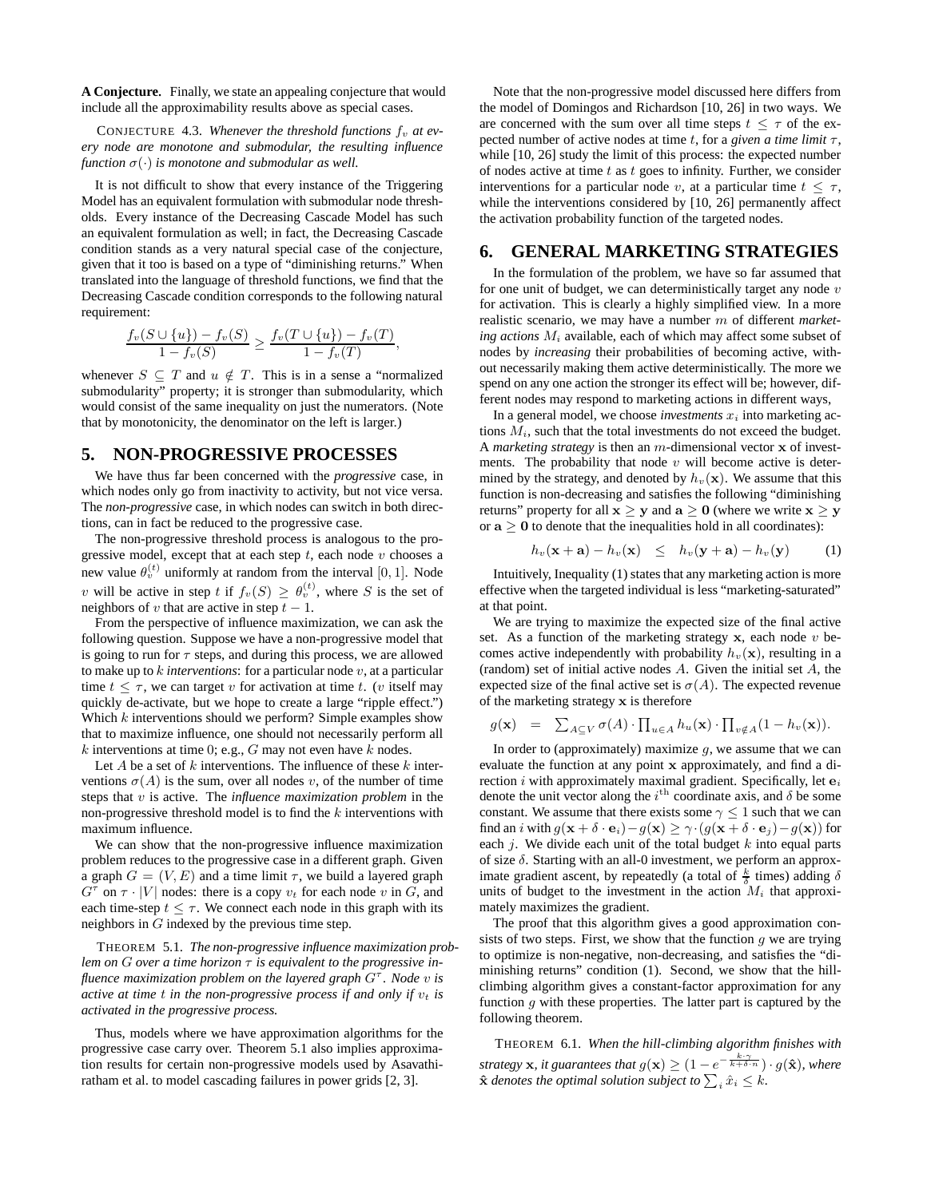**A Conjecture***.* Finally, we state an appealing conjecture that would include all the approximability results above as special cases.

CONJECTURE 4.3. Whenever the threshold functions  $f_v$  at ev*ery node are monotone and submodular, the resulting influence function*  $\sigma(\cdot)$  *is monotone and submodular as well.* 

It is not difficult to show that every instance of the Triggering Model has an equivalent formulation with submodular node thresholds. Every instance of the Decreasing Cascade Model has such an equivalent formulation as well; in fact, the Decreasing Cascade condition stands as a very natural special case of the conjecture, given that it too is based on a type of "diminishing returns." When translated into the language of threshold functions, we find that the Decreasing Cascade condition corresponds to the following natural requirement:

$$
\frac{f_v(S \cup \{u\}) - f_v(S)}{1 - f_v(S)} \ge \frac{f_v(T \cup \{u\}) - f_v(T)}{1 - f_v(T)},
$$

whenever  $S \subseteq T$  and  $u \notin T$ . This is in a sense a "normalized" submodularity" property; it is stronger than submodularity, which would consist of the same inequality on just the numerators. (Note that by monotonicity, the denominator on the left is larger.)

#### **5. NON-PROGRESSIVE PROCESSES**

We have thus far been concerned with the *progressive* case, in which nodes only go from inactivity to activity, but not vice versa. The *non-progressive* case, in which nodes can switch in both directions, can in fact be reduced to the progressive case.

The non-progressive threshold process is analogous to the progressive model, except that at each step  $t$ , each node  $v$  chooses a new value  $\theta_v^{(t)}$  uniformly at random from the interval [0, 1]. Node v will be active in step t if  $f_v(S) \geq \theta_v^{(t)}$ , where S is the set of neighbors of v that are active in step  $t - 1$ .

From the perspective of influence maximization, we can ask the following question. Suppose we have a non-progressive model that is going to run for  $\tau$  steps, and during this process, we are allowed to make up to  $k$  *interventions*: for a particular node  $v$ , at a particular time  $t \leq \tau$ , we can target v for activation at time t. (v itself may quickly de-activate, but we hope to create a large "ripple effect.") Which  $k$  interventions should we perform? Simple examples show that to maximize influence, one should not necessarily perform all  $k$  interventions at time 0; e.g.,  $G$  may not even have  $k$  nodes.

Let  $A$  be a set of  $k$  interventions. The influence of these  $k$  interventions  $\sigma(A)$  is the sum, over all nodes v, of the number of time steps that v is active. The *influence maximization problem* in the non-progressive threshold model is to find the  $k$  interventions with maximum influence.

We can show that the non-progressive influence maximization problem reduces to the progressive case in a different graph. Given a graph  $G = (V, E)$  and a time limit  $\tau$ , we build a layered graph  $G^{\tau}$  on  $\tau \cdot |V|$  nodes: there is a copy  $v_t$  for each node v in G, and each time-step  $t \leq \tau$ . We connect each node in this graph with its neighbors in  $\overline{G}$  indexed by the previous time step.

THEOREM 5.1. *The non-progressive influence maximization problem on G over a time horizon*  $\tau$  *is equivalent to the progressive influence maximization problem on the layered graph* G τ *. Node* v *is active* at *time t in the non-progressive process if and only if*  $v_t$  *is activated in the progressive process.*

Thus, models where we have approximation algorithms for the progressive case carry over. Theorem 5.1 also implies approximation results for certain non-progressive models used by Asavathiratham et al. to model cascading failures in power grids [2, 3].

Note that the non-progressive model discussed here differs from the model of Domingos and Richardson [10, 26] in two ways. We are concerned with the sum over all time steps  $t < \tau$  of the expected number of active nodes at time t, for a *given a time limit*  $\tau$ , while [10, 26] study the limit of this process: the expected number of nodes active at time  $t$  as  $t$  goes to infinity. Further, we consider interventions for a particular node v, at a particular time  $t \leq \tau$ , while the interventions considered by [10, 26] permanently affect the activation probability function of the targeted nodes.

#### **6. GENERAL MARKETING STRATEGIES**

In the formulation of the problem, we have so far assumed that for one unit of budget, we can deterministically target any node  $v$ for activation. This is clearly a highly simplified view. In a more realistic scenario, we may have a number m of different *marketing actions*  $M_i$  available, each of which may affect some subset of nodes by *increasing* their probabilities of becoming active, without necessarily making them active deterministically. The more we spend on any one action the stronger its effect will be; however, different nodes may respond to marketing actions in different ways,

In a general model, we choose *investments*  $x_i$  into marketing actions  $M_i$ , such that the total investments do not exceed the budget. A *marketing strategy* is then an m-dimensional vector x of investments. The probability that node  $v$  will become active is determined by the strategy, and denoted by  $h_v(\mathbf{x})$ . We assume that this function is non-decreasing and satisfies the following "diminishing returns" property for all  $x \ge y$  and  $a \ge 0$  (where we write  $x \ge y$ or  $a \geq 0$  to denote that the inequalities hold in all coordinates):

$$
h_v(\mathbf{x} + \mathbf{a}) - h_v(\mathbf{x}) \leq h_v(\mathbf{y} + \mathbf{a}) - h_v(\mathbf{y}) \tag{1}
$$

Intuitively, Inequality (1) states that any marketing action is more effective when the targeted individual is less "marketing-saturated" at that point.

We are trying to maximize the expected size of the final active set. As a function of the marketing strategy  $x$ , each node  $v$  becomes active independently with probability  $h_v(\mathbf{x})$ , resulting in a (random) set of initial active nodes  $A$ . Given the initial set  $A$ , the expected size of the final active set is  $\sigma(A)$ . The expected revenue of the marketing strategy  $x$  is therefore

$$
g(\mathbf{x}) = \sum_{A \subseteq V} \sigma(A) \cdot \prod_{u \in A} h_u(\mathbf{x}) \cdot \prod_{v \notin A} (1 - h_v(\mathbf{x})).
$$

In order to (approximately) maximize  $q$ , we assume that we can evaluate the function at any point x approximately, and find a direction  $i$  with approximately maximal gradient. Specifically, let  $e_i$ denote the unit vector along the  $i<sup>th</sup>$  coordinate axis, and  $\delta$  be some constant. We assume that there exists some  $\gamma \leq 1$  such that we can find an i with  $g(\mathbf{x} + \delta \cdot \mathbf{e}_i) - g(\mathbf{x}) \geq \gamma \cdot (g(\mathbf{x} + \delta \cdot \mathbf{e}_i) - g(\mathbf{x}))$  for each  $j$ . We divide each unit of the total budget  $k$  into equal parts of size  $\delta$ . Starting with an all-0 investment, we perform an approximate gradient ascent, by repeatedly (a total of  $\frac{k}{\delta}$  times) adding  $\delta$ units of budget to the investment in the action  $M_i$  that approximately maximizes the gradient.

The proof that this algorithm gives a good approximation consists of two steps. First, we show that the function  $g$  we are trying to optimize is non-negative, non-decreasing, and satisfies the "diminishing returns" condition (1). Second, we show that the hillclimbing algorithm gives a constant-factor approximation for any function  $g$  with these properties. The latter part is captured by the following theorem.

THEOREM 6.1. *When the hill-climbing algorithm finishes with strategy* **x**, *it* guarantees that  $g(\mathbf{x}) \geq (1 - e^{-\frac{k \cdot \gamma}{k + \delta \cdot n}}) \cdot g(\hat{\mathbf{x}})$ , where  $\mathbf{\hat{x}}$  *denotes the optimal solution subject to*  $\sum_i \hat{x}_i \leq k$ .